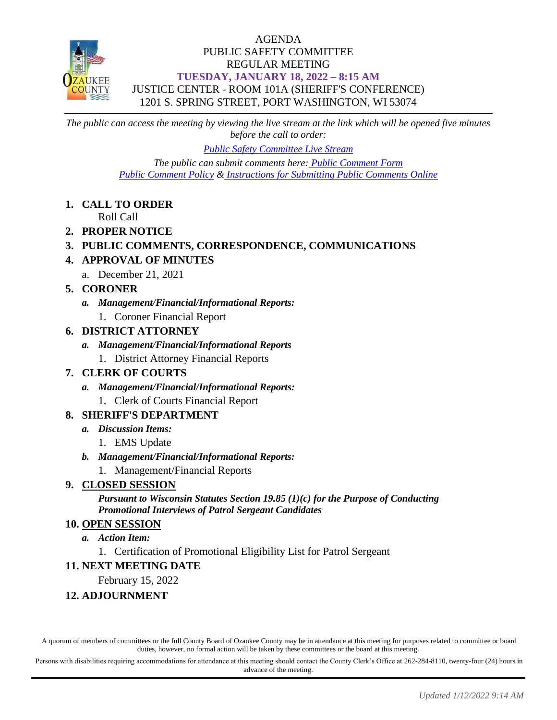

#### AGENDA PUBLIC SAFETY COMMITTEE REGULAR MEETING **TUESDAY, JANUARY 18, 2022 – 8:15 AM** JUSTICE CENTER - ROOM 101A (SHERIFF'S CONFERENCE) 1201 S. SPRING STREET, PORT WASHINGTON, WI 53074

*The public can access the meeting by viewing the live stream at the link which will be opened five minutes before the call to order:*

*[Public Safety Committee Live Stream](https://www.youtube.com/channel/UCQ16yLTEJmJo_h02WDDqcqg)*

*The public can submit comments here: [Public Comment Form](https://www.co.ozaukee.wi.us/FormCenter/Email-Forms-28/Email-Public-Comment-300) [Public Comment Policy](https://www.co.ozaukee.wi.us/2663/Public-Comments-at-In-Person-Meetings) & [Instructions for Submitting Public Comments Online](https://www.co.ozaukee.wi.us/2645/Public-Comments-at-Zoom-Meetings)*

**1. CALL TO ORDER**

Roll Call

- **2. PROPER NOTICE**
- **3. PUBLIC COMMENTS, CORRESPONDENCE, COMMUNICATIONS**
- **4. APPROVAL OF MINUTES**
	- a. December 21, 2021
- **5. CORONER**
	- *a. Management/Financial/Informational Reports:*
		- 1. Coroner Financial Report

#### **6. DISTRICT ATTORNEY**

- *a. Management/Financial/Informational Reports*
	- 1. District Attorney Financial Reports

#### **7. CLERK OF COURTS**

- *a. Management/Financial/Informational Reports:*
	- 1. Clerk of Courts Financial Report

#### **8. SHERIFF'S DEPARTMENT**

- *a. Discussion Items:*
	- 1. EMS Update
- *b. Management/Financial/Informational Reports:*
	- 1. Management/Financial Reports

### **9. CLOSED SESSION**

*Pursuant to Wisconsin Statutes Section 19.85 (1)(c) for the Purpose of Conducting Promotional Interviews of Patrol Sergeant Candidates*

#### **10. OPEN SESSION**

#### *a. Action Item:*

1. Certification of Promotional Eligibility List for Patrol Sergeant

#### **11. NEXT MEETING DATE**

February 15, 2022

### **12. ADJOURNMENT**

A quorum of members of committees or the full County Board of Ozaukee County may be in attendance at this meeting for purposes related to committee or board duties, however, no formal action will be taken by these committees or the board at this meeting.

Persons with disabilities requiring accommodations for attendance at this meeting should contact the County Clerk's Office at 262-284-8110, twenty-four (24) hours in advance of the meeting.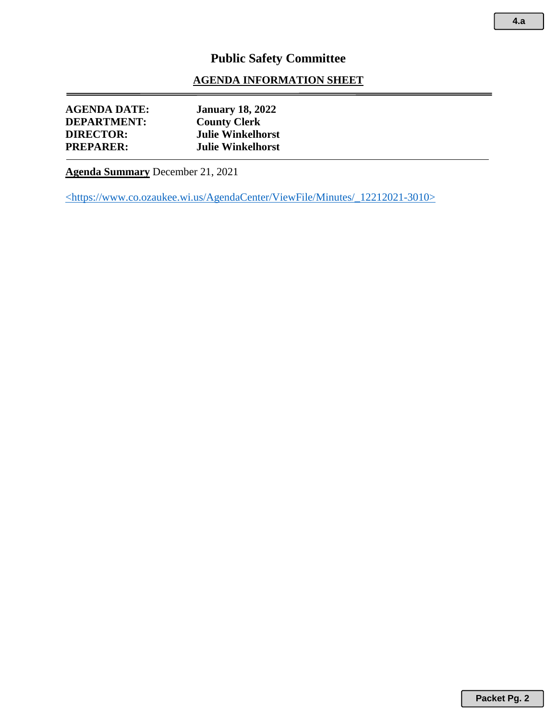#### **AGENDA INFORMATION SHEET**

| <b>AGENDA DATE:</b> | <b>January 18, 2022</b>  |
|---------------------|--------------------------|
| <b>DEPARTMENT:</b>  | <b>County Clerk</b>      |
| <b>DIRECTOR:</b>    | <b>Julie Winkelhorst</b> |
| <b>PREPARER:</b>    | <b>Julie Winkelhorst</b> |
|                     |                          |

**Agenda Summary** December 21, 2021

<https://www.co.ozaukee.wi.us/AgendaCenter/ViewFile/Minutes/\_12212021-3010>

**Packet Pg. 2**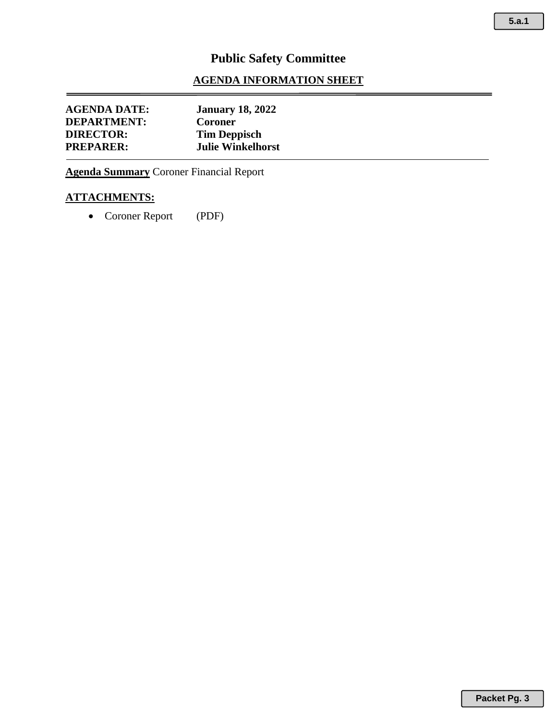**5.a.1**

# **Public Safety Committee**

#### **AGENDA INFORMATION SHEET**

| <b>AGENDA DATE:</b> | <b>January 18, 2022</b>  |
|---------------------|--------------------------|
| <b>DEPARTMENT:</b>  | <b>Coroner</b>           |
| <b>DIRECTOR:</b>    | <b>Tim Deppisch</b>      |
| <b>PREPARER:</b>    | <b>Julie Winkelhorst</b> |

**Agenda Summary** Coroner Financial Report

#### **ATTACHMENTS:**

• Coroner Report (PDF)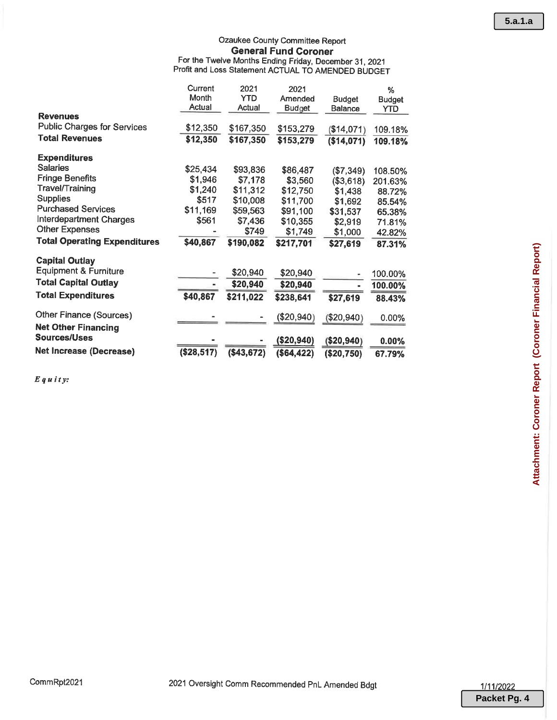## Ozaukee County Committee Report **General Fund Coroner** For the Twelve Months Ending Friday, December 31, 2021<br>Profit and Loss Statement ACTUAL TO AMENDED BUDGET

|                                     | Current<br>Month<br>Actual | 2021<br><b>YTD</b><br>Actual | 2021<br>Amended<br><b>Budget</b> | <b>Budget</b><br>Balance | %<br><b>Budget</b><br>YTD |
|-------------------------------------|----------------------------|------------------------------|----------------------------------|--------------------------|---------------------------|
| <b>Revenues</b>                     |                            |                              |                                  |                          |                           |
| <b>Public Charges for Services</b>  | \$12,350                   | \$167,350                    | \$153,279                        | (\$14,071)               | 109.18%                   |
| <b>Total Revenues</b>               | \$12,350                   | \$167,350                    | \$153,279                        | (\$14,071)               | 109.18%                   |
| <b>Expenditures</b>                 |                            |                              |                                  |                          |                           |
| <b>Salaries</b>                     | \$25,434                   | \$93,836                     | \$86,487                         | (\$7,349)                | 108.50%                   |
| <b>Fringe Benefits</b>              | \$1,946                    | \$7,178                      | \$3,560                          | (\$3,618)                | 201.63%                   |
| <b>Travel/Training</b>              | \$1,240                    | \$11,312                     | \$12,750                         | \$1,438                  | 88.72%                    |
| <b>Supplies</b>                     | \$517                      | \$10,008                     | \$11,700                         | \$1,692                  | 85.54%                    |
| <b>Purchased Services</b>           | \$11,169                   | \$59,563                     | \$91,100                         | \$31,537                 | 65.38%                    |
| Interdepartment Charges             | \$561                      | \$7,436                      | \$10,355                         | \$2,919                  | 71.81%                    |
| <b>Other Expenses</b>               |                            | \$749                        | \$1,749                          | \$1,000                  | 42.82%                    |
| <b>Total Operating Expenditures</b> | \$40,867                   | \$190,082                    | \$217,701                        | \$27,619                 | 87.31%                    |
| <b>Capital Outlay</b>               |                            |                              |                                  |                          |                           |
| <b>Equipment &amp; Furniture</b>    |                            | \$20,940                     | \$20,940                         |                          | 100.00%                   |
| <b>Total Capital Outlay</b>         |                            | \$20,940                     | \$20,940                         |                          | 100.00%                   |
| <b>Total Expenditures</b>           | \$40,867                   | \$211,022                    | \$238,641                        | \$27,619                 | 88.43%                    |
| <b>Other Finance (Sources)</b>      |                            |                              | (\$20,940)                       | $(\$20,940)$             | 0.00%                     |
| <b>Net Other Financing</b>          |                            |                              |                                  |                          |                           |
| Sources/Uses                        |                            |                              | (\$20,940)                       | (\$20,940)               | $0.00\%$                  |
| <b>Net Increase (Decrease)</b>      | (\$28,517)                 | (\$43,672)                   | (\$64, 422)                      | (\$20,750)               | 67.79%                    |

 $E$ quity:

CommRpt2021

1/11/2022 **Packet Pg. 4**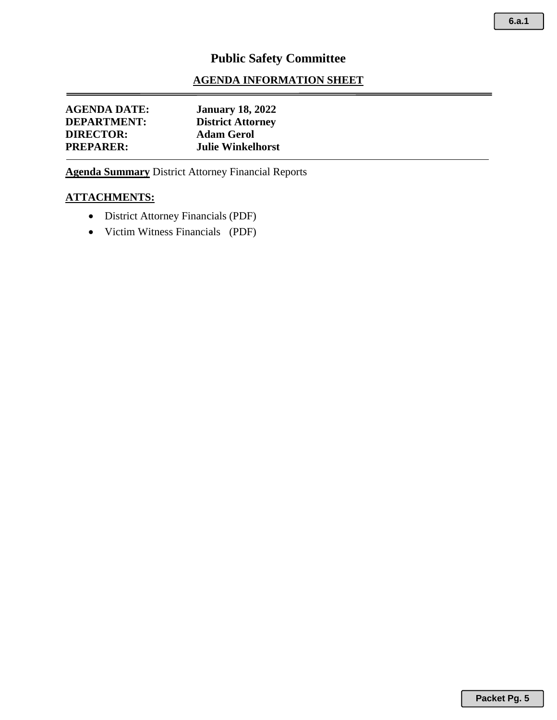#### **AGENDA INFORMATION SHEET**

| <b>AGENDA DATE:</b> | <b>January 18, 2022</b>  |
|---------------------|--------------------------|
| <b>DEPARTMENT:</b>  | <b>District Attorney</b> |
| <b>DIRECTOR:</b>    | <b>Adam Gerol</b>        |
| <b>PREPARER:</b>    | <b>Julie Winkelhorst</b> |

**Agenda Summary** District Attorney Financial Reports

#### **ATTACHMENTS:**

- District Attorney Financials (PDF)
- Victim Witness Financials (PDF)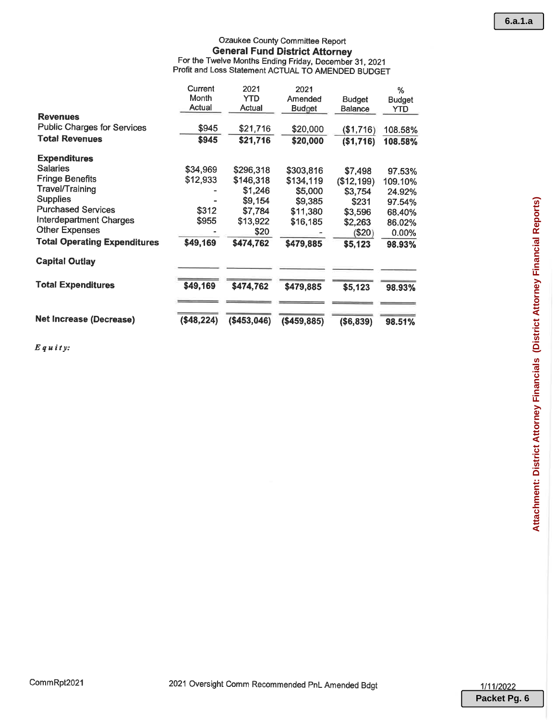## Ozaukee County Committee Report **General Fund District Attorney** For the Twelve Months Ending Friday, December 31, 2021<br>Profit and Loss Statement ACTUAL TO AMENDED BUDGET

|                                     | Current    | 2021         | 2021          |                | %             |
|-------------------------------------|------------|--------------|---------------|----------------|---------------|
|                                     | Month      | YTD          | Amended       | <b>Budget</b>  | <b>Budget</b> |
|                                     | Actual     | Actual       | <b>Budget</b> | <b>Balance</b> | <b>YTD</b>    |
| <b>Revenues</b>                     |            |              |               |                |               |
| <b>Public Charges for Services</b>  | \$945      | \$21,716     | \$20,000      | (\$1,716)      | 108.58%       |
| <b>Total Revenues</b>               | \$945      | \$21,716     | \$20,000      | (\$1,716)      | 108.58%       |
| <b>Expenditures</b>                 |            |              |               |                |               |
| <b>Salaries</b>                     | \$34,969   | \$296,318    | \$303,816     | \$7,498        | 97.53%        |
| <b>Fringe Benefits</b>              | \$12,933   | \$146,318    | \$134,119     | (\$12,199)     | 109.10%       |
| <b>Travel/Training</b>              |            | \$1,246      | \$5,000       | \$3,754        | 24.92%        |
| <b>Supplies</b>                     |            | \$9,154      | \$9,385       | \$231          | 97.54%        |
| <b>Purchased Services</b>           | \$312      | \$7,784      | \$11,380      | \$3,596        | 68.40%        |
| <b>Interdepartment Charges</b>      | \$955      | \$13,922     | \$16,185      | \$2,263        | 86.02%        |
| <b>Other Expenses</b>               |            | \$20         |               | (\$20)         | $0.00\%$      |
| <b>Total Operating Expenditures</b> | \$49,169   | \$474,762    | \$479,885     | \$5,123        | 98.93%        |
| <b>Capital Outlay</b>               |            |              |               |                |               |
| <b>Total Expenditures</b>           | \$49,169   | \$474,762    | \$479,885     | \$5,123        | 98.93%        |
| <b>Net Increase (Decrease)</b>      | (\$48,224) | ( \$453,046) | ( \$459, 885) | (\$6,839)      | 98.51%        |

 $E$ quity: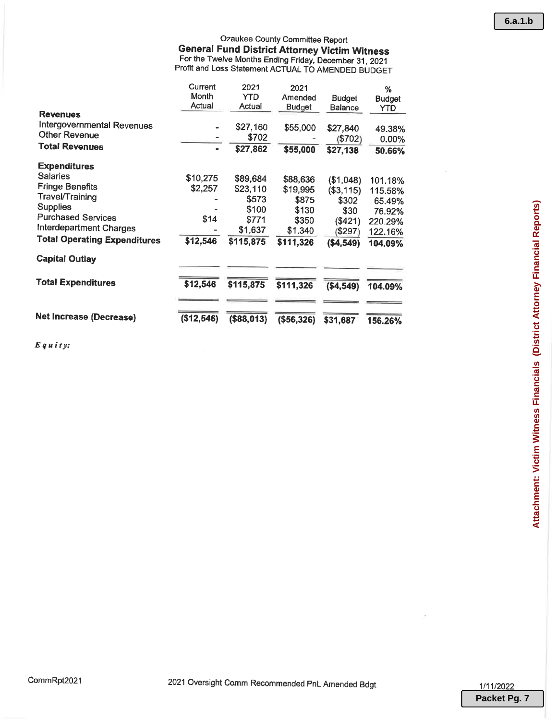|                                     | Current<br>Month | 2021<br><b>YTD</b> | 2021<br>Amended | <b>Budget</b> | %<br><b>Budget</b> |
|-------------------------------------|------------------|--------------------|-----------------|---------------|--------------------|
|                                     | Actual           | Actual             | <b>Budget</b>   | Balance       | YTD                |
| <b>Revenues</b>                     |                  |                    |                 |               |                    |
| Intergovernmental Revenues          |                  | \$27,160           | \$55,000        | \$27,840      | 49.38%             |
| <b>Other Revenue</b>                |                  | \$702              |                 | (\$702)       | $0.00\%$           |
| <b>Total Revenues</b>               | $\blacksquare$   | \$27,862           | \$55,000        | \$27,138      | 50.66%             |
| <b>Expenditures</b>                 |                  |                    |                 |               |                    |
| <b>Salaries</b>                     | \$10,275         | \$89,684           | \$88,636        | (\$1,048)     | 101.18%            |
| <b>Fringe Benefits</b>              | \$2,257          | \$23,110           | \$19,995        | (\$3,115)     | 115.58%            |
| <b>Travel/Training</b>              |                  | \$573              | \$875           | \$302         | 65.49%             |
| <b>Supplies</b>                     |                  | \$100              | \$130           | \$30          | 76.92%             |
| <b>Purchased Services</b>           | \$14             | \$771              | \$350           | (\$421)       | 220.29%            |
| <b>Interdepartment Charges</b>      |                  | \$1,637            | \$1,340         | (\$297)       | 122.16%            |
| <b>Total Operating Expenditures</b> | \$12,546         | \$115,875          | \$111,326       | (\$4,549)     | 104.09%            |
| <b>Capital Outlay</b>               |                  |                    |                 |               |                    |
| <b>Total Expenditures</b>           | \$12,546         | \$115,875          | \$111,326       | (\$4,549)     | 104.09%            |
|                                     |                  |                    |                 |               |                    |
| <b>Net Increase (Decrease)</b>      | (\$12,546)       | (\$88,013)         | ( \$56, 326)    | \$31,687      | 156.26%            |

 $E$ quity:

**6.a.1.b**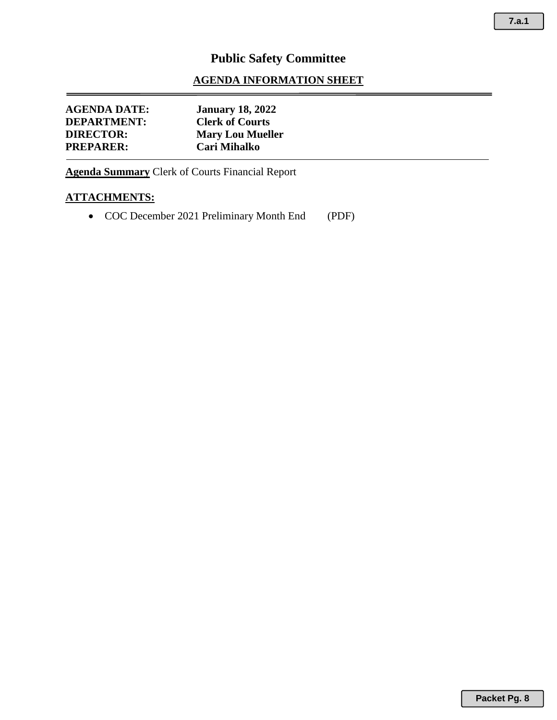#### **AGENDA INFORMATION SHEET**

| AGENDA DATE:<br><b>DEPARTMENT:</b> | <b>January 18, 2022</b><br><b>Clerk of Courts</b> |
|------------------------------------|---------------------------------------------------|
| <b>DIRECTOR:</b>                   | <b>Mary Lou Mueller</b>                           |
| <b>PREPARER:</b>                   | Cari Mihalko                                      |

**Agenda Summary** Clerk of Courts Financial Report

#### **ATTACHMENTS:**

• COC December 2021 Preliminary Month End (PDF)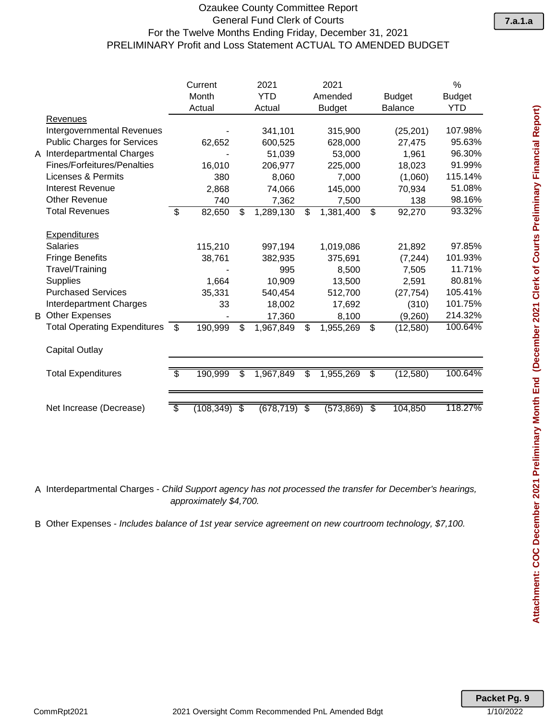#### Ozaukee County Committee Report General Fund Clerk of Courts For the Twelve Months Ending Friday, December 31, 2021 PRELIMINARY Profit and Loss Statement ACTUAL TO AMENDED BUDGET

|   |                                     |    | Current   |                          | 2021       | 2021             |                 |                | %             |
|---|-------------------------------------|----|-----------|--------------------------|------------|------------------|-----------------|----------------|---------------|
|   |                                     |    | Month     |                          | <b>YTD</b> | Amended          |                 | <b>Budget</b>  | <b>Budget</b> |
|   |                                     |    | Actual    |                          | Actual     | <b>Budget</b>    |                 | <b>Balance</b> | YTD           |
|   | Revenues                            |    |           |                          |            |                  |                 |                |               |
|   | <b>Intergovernmental Revenues</b>   |    |           |                          | 341,101    | 315,900          |                 | (25, 201)      | 107.98%       |
|   | <b>Public Charges for Services</b>  |    | 62,652    |                          | 600,525    | 628,000          |                 | 27,475         | 95.63%        |
| A | <b>Interdepartmental Charges</b>    |    |           |                          | 51,039     | 53,000           |                 | 1,961          | 96.30%        |
|   | <b>Fines/Forfeitures/Penalties</b>  |    | 16,010    |                          | 206,977    | 225,000          |                 | 18,023         | 91.99%        |
|   | <b>Licenses &amp; Permits</b>       |    | 380       |                          | 8,060      | 7,000            |                 | (1,060)        | 115.14%       |
|   | <b>Interest Revenue</b>             |    | 2,868     |                          | 74,066     | 145,000          |                 | 70,934         | 51.08%        |
|   | <b>Other Revenue</b>                |    | 740       |                          | 7,362      | 7,500            |                 | 138            | 98.16%        |
|   | <b>Total Revenues</b>               | \$ | 82,650    | \$                       | 1,289,130  | \$<br>1,381,400  | \$              | 92,270         | 93.32%        |
|   | Expenditures                        |    |           |                          |            |                  |                 |                |               |
|   | <b>Salaries</b>                     |    | 115,210   |                          | 997,194    | 1,019,086        |                 | 21,892         | 97.85%        |
|   | <b>Fringe Benefits</b>              |    | 38,761    |                          | 382,935    | 375,691          |                 | (7, 244)       | 101.93%       |
|   | Travel/Training                     |    |           |                          | 995        | 8,500            |                 | 7,505          | 11.71%        |
|   | <b>Supplies</b>                     |    | 1,664     |                          | 10,909     | 13,500           |                 | 2,591          | 80.81%        |
|   | <b>Purchased Services</b>           |    | 35,331    |                          | 540,454    | 512,700          |                 | (27, 754)      | 105.41%       |
|   | Interdepartment Charges             |    | 33        |                          | 18,002     | 17,692           |                 | (310)          | 101.75%       |
|   | <b>B</b> Other Expenses             |    |           |                          | 17,360     | 8,100            |                 | (9,260)        | 214.32%       |
|   | <b>Total Operating Expenditures</b> | \$ | 190,999   | \$                       | 1,967,849  | \$<br>1,955,269  | \$              | (12,580)       | 100.64%       |
|   | <b>Capital Outlay</b>               |    |           |                          |            |                  |                 |                |               |
|   | <b>Total Expenditures</b>           | \$ | 190,999   | \$                       | 1,967,849  | \$<br>1,955,269  | \$              | (12,580)       | 100.64%       |
|   |                                     |    |           |                          |            |                  |                 |                |               |
|   | Net Increase (Decrease)             | S  | (108,349) | $\overline{\mathcal{S}}$ | (678, 719) | \$<br>(573, 869) | $\overline{\$}$ | 104,850        | 118.27%       |

A Interdepartmental Charges - *Child Support agency has not processed the transfer for December's hearings, approximately \$4,700.*

B Other Expenses - *Includes balance of 1st year service agreement on new courtroom technology, \$7,100.*

**Packet Pg. 9**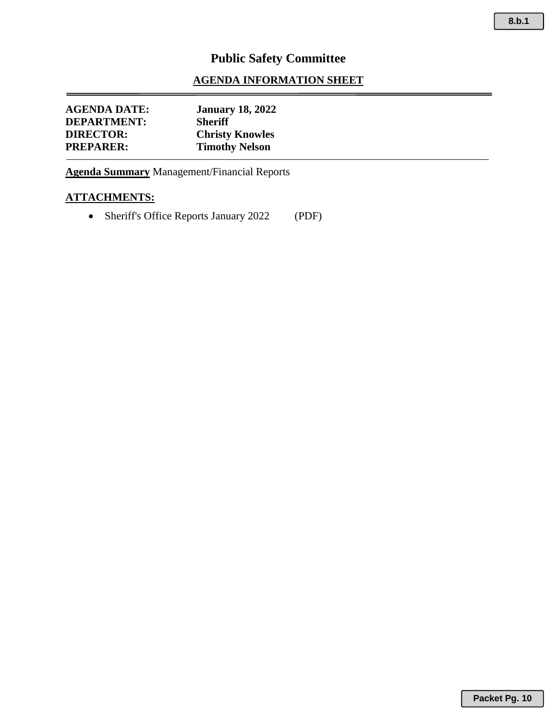#### **AGENDA INFORMATION SHEET**

| <b>AGENDA DATE:</b> | <b>January 18, 2022</b> |
|---------------------|-------------------------|
| <b>DEPARTMENT:</b>  | <b>Sheriff</b>          |
| <b>DIRECTOR:</b>    | <b>Christy Knowles</b>  |
| <b>PREPARER:</b>    | <b>Timothy Nelson</b>   |
|                     |                         |

**Agenda Summary** Management/Financial Reports

#### **ATTACHMENTS:**

• Sheriff's Office Reports January 2022 (PDF)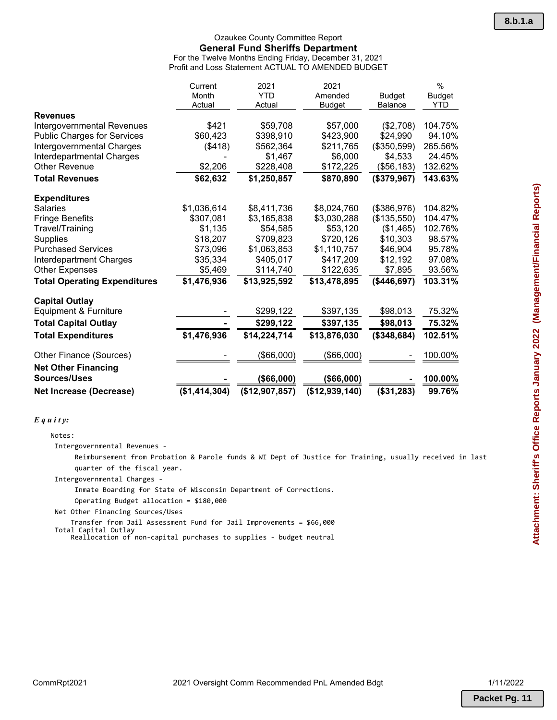#### Ozaukee County Committee Report **General Fund Sheriffs Department** For the Twelve Months Ending Friday, December 31, 2021

Profit and Loss Statement ACTUAL TO AMENDED BUDGET

|                                     | Current       | 2021           | 2021           |                | $\%$          |
|-------------------------------------|---------------|----------------|----------------|----------------|---------------|
|                                     | Month         | <b>YTD</b>     | Amended        | <b>Budget</b>  | <b>Budget</b> |
|                                     | Actual        | Actual         | <b>Budget</b>  | <b>Balance</b> | YTD           |
| <b>Revenues</b>                     |               |                |                |                |               |
| Intergovernmental Revenues          | \$421         | \$59,708       | \$57,000       | (\$2,708)      | 104.75%       |
| <b>Public Charges for Services</b>  | \$60,423      | \$398,910      | \$423,900      | \$24,990       | 94.10%        |
| Intergovernmental Charges           | (\$418)       | \$562,364      | \$211,765      | (\$350,599)    | 265.56%       |
| Interdepartmental Charges           |               | \$1,467        | \$6,000        | \$4,533        | 24.45%        |
| <b>Other Revenue</b>                | \$2,206       | \$228,408      | \$172,225      | (\$56,183)     | 132.62%       |
| <b>Total Revenues</b>               | \$62,632      | \$1,250,857    | \$870,890      | (\$379,967)    | 143.63%       |
| <b>Expenditures</b>                 |               |                |                |                |               |
| <b>Salaries</b>                     | \$1,036,614   | \$8,411,736    | \$8,024,760    | (\$386,976)    | 104.82%       |
| <b>Fringe Benefits</b>              | \$307,081     | \$3,165,838    | \$3,030,288    | (\$135,550)    | 104.47%       |
| Travel/Training                     | \$1,135       | \$54,585       | \$53,120       | (\$1,465)      | 102.76%       |
| Supplies                            | \$18,207      | \$709,823      | \$720,126      | \$10,303       | 98.57%        |
| <b>Purchased Services</b>           | \$73,096      | \$1,063,853    | \$1,110,757    | \$46,904       | 95.78%        |
| Interdepartment Charges             | \$35,334      | \$405,017      | \$417,209      | \$12,192       | 97.08%        |
| <b>Other Expenses</b>               | \$5,469       | \$114,740      | \$122,635      | \$7,895        | 93.56%        |
| <b>Total Operating Expenditures</b> | \$1,476,936   | \$13,925,592   | \$13,478,895   | ( \$446, 697)  | 103.31%       |
| <b>Capital Outlay</b>               |               |                |                |                |               |
| Equipment & Furniture               |               | \$299,122      | \$397,135      | \$98,013       | 75.32%        |
| <b>Total Capital Outlay</b>         |               | \$299,122      | \$397,135      | \$98,013       | 75.32%        |
| <b>Total Expenditures</b>           | \$1,476,936   | \$14,224,714   | \$13,876,030   | (\$348,684)    | 102.51%       |
| Other Finance (Sources)             |               | (\$66,000)     | (\$66,000)     |                | 100.00%       |
| <b>Net Other Financing</b>          |               |                |                |                |               |
| <b>Sources/Uses</b>                 |               | ( \$66,000)    | ( \$66,000)    |                | 100.00%       |
| <b>Net Increase (Decrease)</b>      | (\$1,414,304) | (\$12,907,857) | (\$12,939,140) | (\$31,283)     | 99.76%        |

#### *E q u i t y:*

Notes:

Intergovernmental Revenues -

 Reimbursement from Probation & Parole funds & WI Dept of Justice for Training, usually received in last quarter of the fiscal year.

Intergovernmental Charges -

Inmate Boarding for State of Wisconsin Department of Corrections.

Operating Budget allocation = \$180,000

Net Other Financing Sources/Uses

Transfer from Jail Assessment Fund for Jail Improvements = \$66,000

Total Capital Outlay Reallocation of non-capital purchases to supplies - budget neutral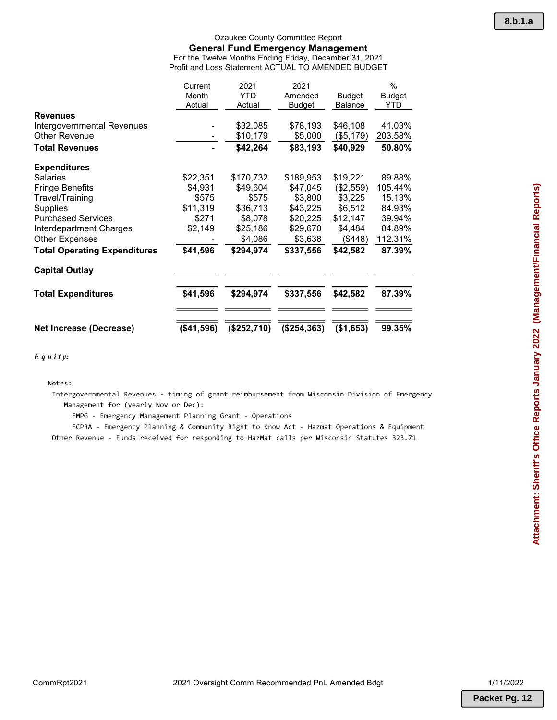#### Ozaukee County Committee Report **General Fund Emergency Management** For the Twelve Months Ending Friday, December 31, 2021 Profit and Loss Statement ACTUAL TO AMENDED BUDGET

|                                     | Current    | 2021        | 2021          |                | $\%$    |
|-------------------------------------|------------|-------------|---------------|----------------|---------|
|                                     | Month      | <b>YTD</b>  | Amended       | Budget         | Budget  |
|                                     | Actual     | Actual      | <b>Budget</b> | <b>Balance</b> | YTD.    |
| <b>Revenues</b>                     |            |             |               |                |         |
| Intergovernmental Revenues          |            | \$32,085    | \$78,193      | \$46,108       | 41.03%  |
| <b>Other Revenue</b>                |            | \$10,179    | \$5,000       | (\$5,179)      | 203.58% |
| <b>Total Revenues</b>               |            | \$42,264    | \$83,193      | \$40,929       | 50.80%  |
| <b>Expenditures</b>                 |            |             |               |                |         |
| <b>Salaries</b>                     | \$22,351   | \$170,732   | \$189,953     | \$19,221       | 89.88%  |
| <b>Fringe Benefits</b>              | \$4,931    | \$49,604    | \$47,045      | (\$2,559)      | 105.44% |
| Travel/Training                     | \$575      | \$575       | \$3,800       | \$3,225        | 15.13%  |
| <b>Supplies</b>                     | \$11,319   | \$36,713    | \$43,225      | \$6,512        | 84.93%  |
| <b>Purchased Services</b>           | \$271      | \$8,078     | \$20,225      | \$12,147       | 39.94%  |
| Interdepartment Charges             | \$2,149    | \$25,186    | \$29,670      | \$4,484        | 84.89%  |
| <b>Other Expenses</b>               |            | \$4,086     | \$3,638       | (\$448)        | 112.31% |
| <b>Total Operating Expenditures</b> | \$41,596   | \$294,974   | \$337,556     | \$42,582       | 87.39%  |
| <b>Capital Outlay</b>               |            |             |               |                |         |
| <b>Total Expenditures</b>           | \$41,596   | \$294,974   | \$337,556     | \$42,582       | 87.39%  |
|                                     |            |             |               |                |         |
| <b>Net Increase (Decrease)</b>      | (\$41,596) | (\$252,710) | (\$254,363)   | (\$1,653)      | 99.35%  |

*E q u i t y:*

Notes:

 Intergovernmental Revenues - timing of grant reimbursement from Wisconsin Division of Emergency Management for (yearly Nov or Dec):

EMPG - Emergency Management Planning Grant - Operations

 ECPRA - Emergency Planning & Community Right to Know Act - Hazmat Operations & Equipment Other Revenue - Funds received for responding to HazMat calls per Wisconsin Statutes 323.71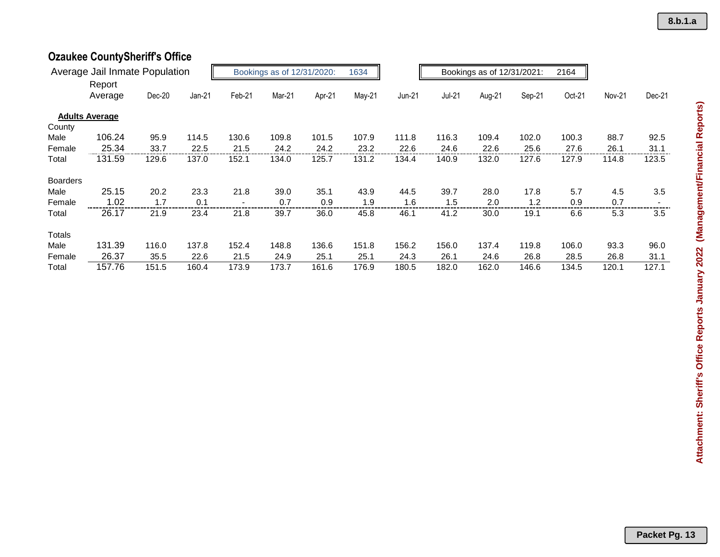# **Ozaukee CountySheriff's Office**

|                 | Average Jail Inmate Population |        | Bookings as of 12/31/2020:<br>1634<br>Bookings as of 12/31/2021: |        | 2164   |        |        |          |               |        |        |        |        |        |
|-----------------|--------------------------------|--------|------------------------------------------------------------------|--------|--------|--------|--------|----------|---------------|--------|--------|--------|--------|--------|
|                 | Report                         |        |                                                                  |        |        |        |        |          |               |        |        |        |        |        |
|                 | Average                        | Dec-20 | $Jan-21$                                                         | Feb-21 | Mar-21 | Apr-21 | May-21 | $Jun-21$ | <b>Jul-21</b> | Aug-21 | Sep-21 | Oct-21 | Nov-21 | Dec-21 |
|                 | <b>Adults Average</b>          |        |                                                                  |        |        |        |        |          |               |        |        |        |        |        |
| County          |                                |        |                                                                  |        |        |        |        |          |               |        |        |        |        |        |
| Male            | 106.24                         | 95.9   | 114.5                                                            | 130.6  | 109.8  | 101.5  | 107.9  | 111.8    | 116.3         | 109.4  | 102.0  | 100.3  | 88.7   | 92.5   |
| Female          | 25.34                          | 33.7   | 22.5                                                             | 21.5   | 24.2   | 24.2   | 23.2   | 22.6     | 24.6          | 22.6   | 25.6   | 27.6   | 26.1   | 31.1   |
| Total           | 131.59                         | 129.6  | 137.0                                                            | 152.1  | 134.0  | 125.7  | 131.2  | 134.4    | 140.9         | 132.0  | 127.6  | 127.9  | 114.8  | 123.5  |
| <b>Boarders</b> |                                |        |                                                                  |        |        |        |        |          |               |        |        |        |        |        |
| Male            | 25.15                          | 20.2   | 23.3                                                             | 21.8   | 39.0   | 35.1   | 43.9   | 44.5     | 39.7          | 28.0   | 17.8   | 5.7    | 4.5    | 3.5    |
| Female          | 1.02                           | 1.7    | 0.1                                                              |        | 0.7    | 0.9    | 1.9    | 1.6      | 1.5           | 2.0    | 1.2    | 0.9    | 0.7    |        |
| Total           | 26.17                          | 21.9   | 23.4                                                             | 21.8   | 39.7   | 36.0   | 45.8   | 46.1     | 41.2          | 30.0   | 19.1   | 6.6    | 5.3    | 3.5    |
| Totals          |                                |        |                                                                  |        |        |        |        |          |               |        |        |        |        |        |
| Male            | 131.39                         | 116.0  | 137.8                                                            | 152.4  | 148.8  | 136.6  | 151.8  | 156.2    | 156.0         | 137.4  | 119.8  | 106.0  | 93.3   | 96.0   |
| Female          | 26.37                          | 35.5   | 22.6                                                             | 21.5   | 24.9   | 25.1   | 25.1   | 24.3     | 26.1          | 24.6   | 26.8   | 28.5   | 26.8   | 31.1   |
| Total           | 157.76                         | 151.5  | 160.4                                                            | 173.9  | 173.7  | 161.6  | 176.9  | 180.5    | 182.0         | 162.0  | 146.6  | 134.5  | 120.1  | 127.1  |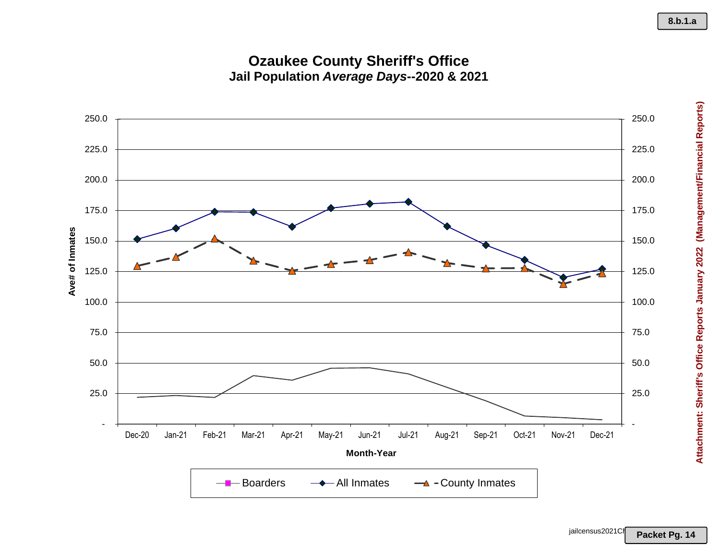## **Ozaukee County Sheriff's Office Jail Population** *Average Days***--2020 & 2021**



Attachment: Sheriff's Office Reports January 2022 (Management/Financial Reports) **Attachment: Sheriff's Office Reports January 2022 (Management/Financial Reports)**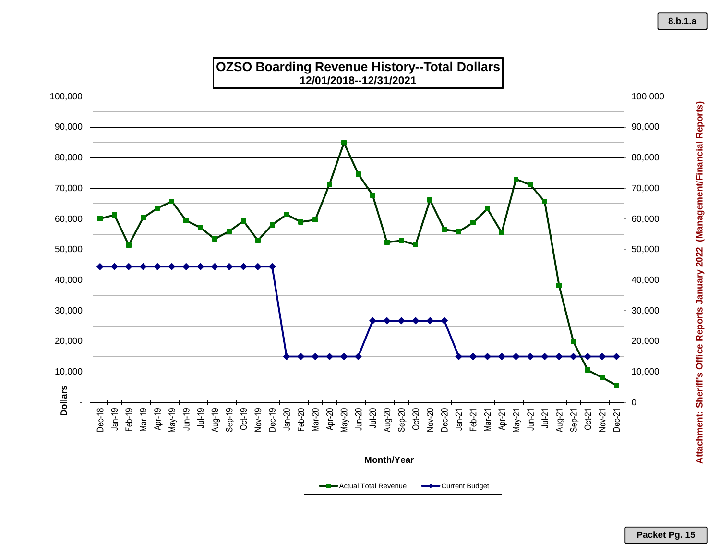

**Month/Year**

Actual Total Revenue **-** Current Budget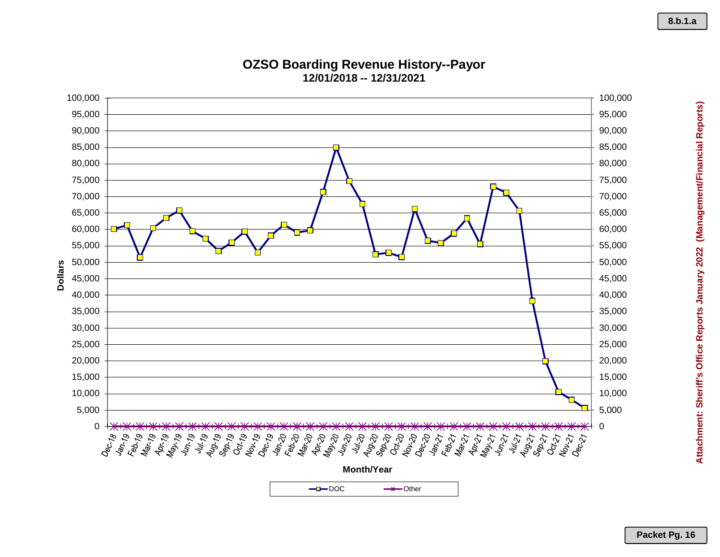

#### **OZSO Boarding Revenue History--Payor 12/01/2018 -- 12/31/2021**

**Packet Pg. 16**